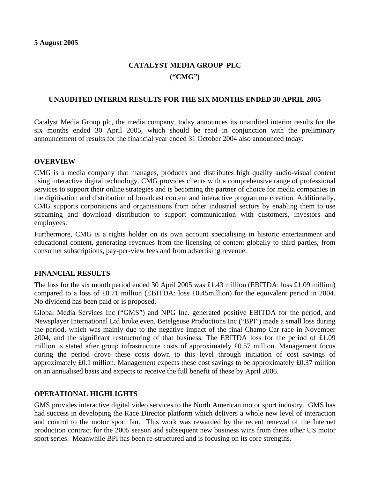# **CATALYST MEDIA GROUP PLC ("CMG")**

### **UNAUDITED INTERIM RESULTS FOR THE SIX MONTHS ENDED 30 APRIL 2005**

Catalyst Media Group plc, the media company, today announces its unaudited interim results for the six months ended 30 April 2005, which should be read in conjunction with the preliminary announcement of results for the financial year ended 31 October 2004 also announced today.

### **OVERVIEW**

CMG is a media company that manages, produces and distributes high quality audio-visual content using interactive digital technology. CMG provides clients with a comprehensive range of professional services to support their online strategies and is becoming the partner of choice for media companies in the digitisation and distribution of broadcast content and interactive programme creation. Additionally, CMG supports corporations and organisations from other industrial sectors by enabling them to use streaming and download distribution to support communication with customers, investors and employees.

Furthermore, CMG is a rights holder on its own account specialising in historic entertainment and educational content, generating revenues from the licensing of content globally to third parties, from consumer subscriptions, pay-per-view fees and from advertising revenue.

### **FINANCIAL RESULTS**

The loss for the six month period ended 30 April 2005 was £1.43 million (EBITDA: loss £1.09 million) compared to a loss of £0.71 million (EBITDA: loss £0.45million) for the equivalent period in 2004. No dividend has been paid or is proposed.

Global Media Services Inc ("GMS") and NPG Inc. generated positive EBITDA for the period, and Newsplayer International Ltd broke even. Betelgeuse Productions Inc ("BPI") made a small loss during the period, which was mainly due to the negative impact of the final Champ Car race in November 2004, and the significant restructuring of that business. The EBITDA loss for the period of £1.09 million is stated after group infrastructure costs of approximately £0.57 million. Management focus during the period drove these costs down to this level through initiation of cost savings of approximately £0.1 million. Management expects these cost savings to be approximately £0.37 million on an annualised basis and expects to receive the full benefit of these by April 2006.

## **OPERATIONAL HIGHLIGHTS**

GMS provides interactive digital video services to the North American motor sport industry. GMS has had success in developing the Race Director platform which delivers a whole new level of interaction and control to the motor sport fan. This work was rewarded by the recent renewal of the Internet production contract for the 2005 season and subsequent new business wins from three other US motor sport series. Meanwhile BPI has been re-structured and is focusing on its core strengths.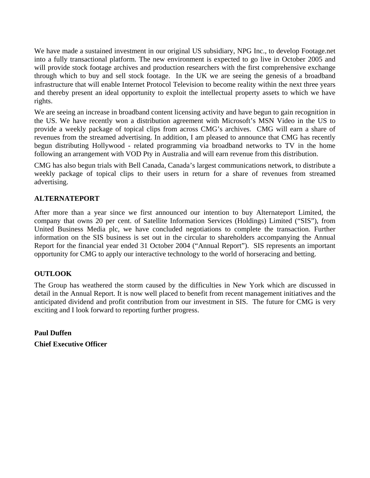We have made a sustained investment in our original US subsidiary, NPG Inc., to develop Footage.net into a fully transactional platform. The new environment is expected to go live in October 2005 and will provide stock footage archives and production researchers with the first comprehensive exchange through which to buy and sell stock footage. In the UK we are seeing the genesis of a broadband infrastructure that will enable Internet Protocol Television to become reality within the next three years and thereby present an ideal opportunity to exploit the intellectual property assets to which we have rights.

We are seeing an increase in broadband content licensing activity and have begun to gain recognition in the US. We have recently won a distribution agreement with Microsoft's MSN Video in the US to provide a weekly package of topical clips from across CMG's archives. CMG will earn a share of revenues from the streamed advertising. In addition, I am pleased to announce that CMG has recently begun distributing Hollywood - related programming via broadband networks to TV in the home following an arrangement with VOD Pty in Australia and will earn revenue from this distribution.

CMG has also begun trials with Bell Canada, Canada's largest communications network, to distribute a weekly package of topical clips to their users in return for a share of revenues from streamed advertising.

## **ALTERNATEPORT**

After more than a year since we first announced our intention to buy Alternateport Limited, the company that owns 20 per cent. of Satellite Information Services (Holdings) Limited ("SIS"), from United Business Media plc, we have concluded negotiations to complete the transaction. Further information on the SIS business is set out in the circular to shareholders accompanying the Annual Report for the financial year ended 31 October 2004 ("Annual Report"). SIS represents an important opportunity for CMG to apply our interactive technology to the world of horseracing and betting.

## **OUTLOOK**

The Group has weathered the storm caused by the difficulties in New York which are discussed in detail in the Annual Report. It is now well placed to benefit from recent management initiatives and the anticipated dividend and profit contribution from our investment in SIS. The future for CMG is very exciting and I look forward to reporting further progress.

**Paul Duffen Chief Executive Officer**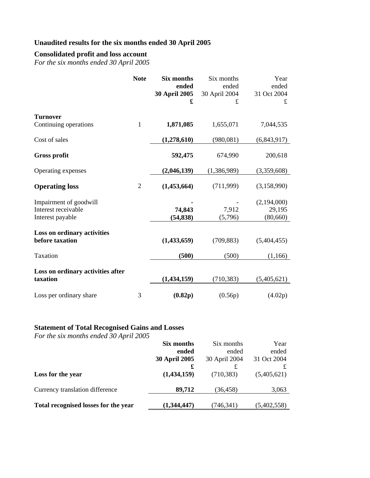## **Unaudited results for the six months ended 30 April 2005**

# **Consolidated profit and loss account**

*For the six months ended 30 April 2005* 

|                                   | <b>Note</b>    | Six months    | Six months    | Year        |
|-----------------------------------|----------------|---------------|---------------|-------------|
|                                   |                | ended         | ended         | ended       |
|                                   |                | 30 April 2005 | 30 April 2004 | 31 Oct 2004 |
|                                   |                | £             | £             | £           |
| <b>Turnover</b>                   |                |               |               |             |
| Continuing operations             | 1              | 1,871,085     | 1,655,071     | 7,044,535   |
| Cost of sales                     |                | (1, 278, 610) | (980, 081)    | (6,843,917) |
| <b>Gross profit</b>               |                | 592,475       | 674,990       | 200,618     |
| Operating expenses                |                | (2,046,139)   | (1,386,989)   | (3,359,608) |
| <b>Operating loss</b>             | $\overline{2}$ | (1,453,664)   | (711,999)     | (3,158,990) |
| Impairment of goodwill            |                |               |               | (2,194,000) |
| Interest receivable               |                | 74,843        | 7,912         | 29,195      |
| Interest payable                  |                | (54, 838)     | (5,796)       | (80,660)    |
| Loss on ordinary activities       |                |               |               |             |
| before taxation                   |                | (1,433,659)   | (709, 883)    | (5,404,455) |
| Taxation                          |                | (500)         | (500)         | (1,166)     |
| Loss on ordinary activities after |                |               |               |             |
| taxation                          |                | (1, 434, 159) | (710, 383)    | (5,405,621) |
| Loss per ordinary share           | 3              | (0.82p)       | (0.56p)       | (4.02p)     |

# **Statement of Total Recognised Gains and Losses**

*For the six months ended 30 April 2005* 

|                                      | Six months<br>ended<br><b>30 April 2005</b> | Six months<br>ended<br>30 April 2004 | Year<br>ended<br>31 Oct 2004 |
|--------------------------------------|---------------------------------------------|--------------------------------------|------------------------------|
| Loss for the year                    | £<br>(1,434,159)                            | £<br>(710, 383)                      | (5,405,621)                  |
| Currency translation difference      | 89,712                                      | (36,458)                             | 3,063                        |
| Total recognised losses for the year | (1,344,447)                                 | (746,341)                            | (5,402,558)                  |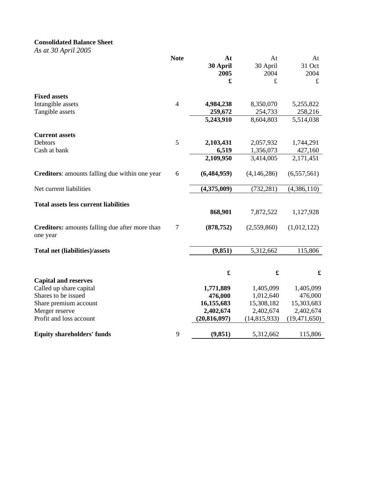## **Consolidated Balance Sheet**

*As at 30 April 2005* 

|                                                            | <b>Note</b>    | At             | At             | At             |
|------------------------------------------------------------|----------------|----------------|----------------|----------------|
|                                                            |                | 30 April       | 30 April       | 31 Oct         |
|                                                            |                | 2005           | 2004           | 2004           |
|                                                            |                | £              | $\pounds$      | $\pounds$      |
| <b>Fixed assets</b>                                        |                |                |                |                |
| Intangible assets                                          | $\overline{4}$ | 4,984,238      | 8,350,070      | 5,255,822      |
| Tangible assets                                            |                | 259,672        | 254,733        | 258,216        |
|                                                            |                | 5,243,910      | 8,604,803      | 5,514,038      |
| <b>Current assets</b>                                      |                |                |                |                |
| Debtors                                                    | 5              | 2,103,431      | 2,057,932      | 1,744,291      |
| Cash at bank                                               |                | 6,519          | 1,356,073      | 427,160        |
|                                                            |                | 2,109,950      | 3,414,005      | 2,171,451      |
| <b>Creditors:</b> amounts falling due within one year      | 6              | (6,484,959)    | (4,146,286)    | (6, 557, 561)  |
| Net current liabilities                                    |                | (4,375,009)    | (732, 281)     | (4,386,110)    |
| <b>Total assets less current liabilities</b>               |                |                |                |                |
|                                                            |                | 868,901        | 7,872,522      | 1,127,928      |
| Creditors: amounts falling due after more than<br>one year | 7              | (878, 752)     | (2,559,860)    | (1,012,122)    |
| <b>Total net (liabilities)/assets</b>                      |                | (9, 851)       | 5,312,662      | 115,806        |
|                                                            |                |                |                |                |
|                                                            |                |                | £              | £              |
| <b>Capital and reserves</b>                                |                |                |                |                |
| Called up share capital                                    |                | 1,771,889      | 1,405,099      | 1,405,099      |
| Shares to be issued                                        |                | 476,000        | 1,012,640      | 476,000        |
| Share premium account                                      |                | 16,155,683     | 15,308,182     | 15,303,683     |
| Merger reserve                                             |                | 2,402,674      | 2,402,674      | 2,402,674      |
| Profit and loss account                                    |                | (20, 816, 097) | (14, 815, 933) | (19, 471, 650) |
| <b>Equity shareholders' funds</b>                          | 9              | (9, 851)       | 5,312,662      | 115,806        |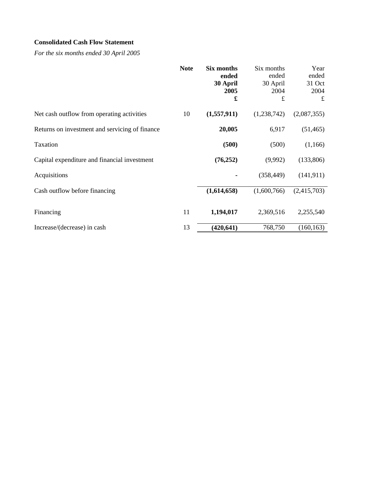## **Consolidated Cash Flow Statement**

*For the six months ended 30 April 2005* 

|                                                | <b>Note</b> | Six months<br>ended<br>30 April<br>2005<br>£ | Six months<br>ended<br>30 April<br>2004<br>$\pounds$ | Year<br>ended<br>31 Oct<br>2004<br>$\pounds$ |
|------------------------------------------------|-------------|----------------------------------------------|------------------------------------------------------|----------------------------------------------|
| Net cash outflow from operating activities     | 10          | (1,557,911)                                  | (1,238,742)                                          | (2,087,355)                                  |
| Returns on investment and servicing of finance |             | 20,005                                       | 6,917                                                | (51, 465)                                    |
| Taxation                                       |             | (500)                                        | (500)                                                | (1,166)                                      |
| Capital expenditure and financial investment   |             | (76, 252)                                    | (9,992)                                              | (133,806)                                    |
| Acquisitions                                   |             |                                              | (358, 449)                                           | (141, 911)                                   |
| Cash outflow before financing                  |             | (1,614,658)                                  | (1,600,766)                                          | (2,415,703)                                  |
| Financing                                      | 11          | 1,194,017                                    | 2,369,516                                            | 2,255,540                                    |
| Increase/(decrease) in cash                    | 13          | (420, 641)                                   | 768,750                                              | (160, 163)                                   |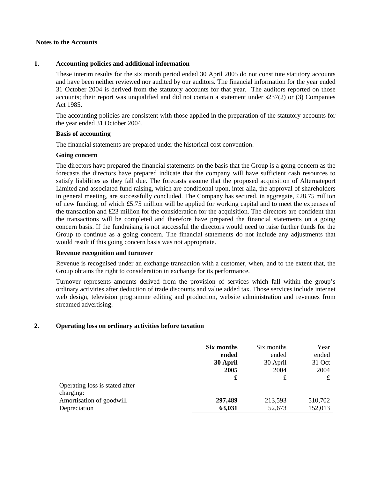#### **Notes to the Accounts**

#### **1. Accounting policies and additional information**

These interim results for the six month period ended 30 April 2005 do not constitute statutory accounts and have been neither reviewed nor audited by our auditors. The financial information for the year ended 31 October 2004 is derived from the statutory accounts for that year. The auditors reported on those accounts; their report was unqualified and did not contain a statement under s237(2) or (3) Companies Act 1985.

The accounting policies are consistent with those applied in the preparation of the statutory accounts for the year ended 31 October 2004.

#### **Basis of accounting**

The financial statements are prepared under the historical cost convention.

#### **Going concern**

The directors have prepared the financial statements on the basis that the Group is a going concern as the forecasts the directors have prepared indicate that the company will have sufficient cash resources to satisfy liabilities as they fall due. The forecasts assume that the proposed acquisition of Alternateport Limited and associated fund raising, which are conditional upon, inter alia, the approval of shareholders in general meeting, are successfully concluded. The Company has secured, in aggregate, £28.75 million of new funding, of which £5.75 million will be applied for working capital and to meet the expenses of the transaction and £23 million for the consideration for the acquisition. The directors are confident that the transactions will be completed and therefore have prepared the financial statements on a going concern basis. If the fundraising is not successful the directors would need to raise further funds for the Group to continue as a going concern. The financial statements do not include any adjustments that would result if this going concern basis was not appropriate.

#### **Revenue recognition and turnover**

Revenue is recognised under an exchange transaction with a customer, when, and to the extent that, the Group obtains the right to consideration in exchange for its performance.

Turnover represents amounts derived from the provision of services which fall within the group's ordinary activities after deduction of trade discounts and value added tax. Those services include internet web design, television programme editing and production, website administration and revenues from streamed advertising.

#### **2. Operating loss on ordinary activities before taxation**

|                                                                                         | Six months        | Six months        | Year               |
|-----------------------------------------------------------------------------------------|-------------------|-------------------|--------------------|
|                                                                                         | ended             | ended             | ended              |
|                                                                                         | 30 April          | 30 April          | 31 Oct             |
|                                                                                         | 2005              | 2004              | 2004               |
|                                                                                         | £                 | £                 | £                  |
| Operating loss is stated after<br>charging:<br>Amortisation of goodwill<br>Depreciation | 297,489<br>63,031 | 213,593<br>52,673 | 510,702<br>152,013 |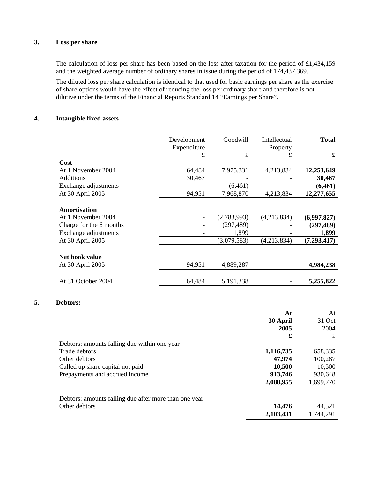### **3. Loss per share**

The calculation of loss per share has been based on the loss after taxation for the period of £1,434,159 and the weighted average number of ordinary shares in issue during the period of 174,437,369.

The diluted loss per share calculation is identical to that used for basic earnings per share as the exercise of share options would have the effect of reducing the loss per ordinary share and therefore is not dilutive under the terms of the Financial Reports Standard 14 "Earnings per Share".

### **4. Intangible fixed assets**

|                                                                                                                  | Development<br>Expenditure | Goodwill                                          | Intellectual<br>Property   | <b>Total</b>                                      |
|------------------------------------------------------------------------------------------------------------------|----------------------------|---------------------------------------------------|----------------------------|---------------------------------------------------|
|                                                                                                                  | $\mathbf f$                | $\pounds$                                         | £                          | £                                                 |
| Cost                                                                                                             |                            |                                                   |                            |                                                   |
| At 1 November 2004                                                                                               | 64,484                     | 7,975,331                                         | 4,213,834                  | 12,253,649                                        |
| <b>Additions</b>                                                                                                 | 30,467                     |                                                   |                            | 30,467                                            |
| Exchange adjustments                                                                                             |                            | (6, 461)                                          |                            | (6, 461)                                          |
| At 30 April 2005                                                                                                 | 94,951                     | 7,968,870                                         | 4,213,834                  | 12,277,655                                        |
| <b>Amortisation</b><br>At 1 November 2004<br>Charge for the 6 months<br>Exchange adjustments<br>At 30 April 2005 |                            | (2,783,993)<br>(297, 489)<br>1,899<br>(3,079,583) | (4,213,834)<br>(4,213,834) | (6,997,827)<br>(297, 489)<br>1,899<br>(7,293,417) |
| Net book value<br>At 30 April 2005                                                                               | 94,951                     | 4,889,287                                         |                            | 4,984,238                                         |
| At 31 October 2004                                                                                               | 64,484                     | 5,191,338                                         |                            | 5,255,822                                         |

### **5. Debtors:**

|                                                       | At        | At        |
|-------------------------------------------------------|-----------|-----------|
|                                                       | 30 April  | 31 Oct    |
|                                                       | 2005      | 2004      |
|                                                       | £         | £         |
| Debtors: amounts falling due within one year          |           |           |
| Trade debtors                                         | 1,116,735 | 658,335   |
| Other debtors                                         | 47,974    | 100,287   |
| Called up share capital not paid                      | 10,500    | 10,500    |
| Prepayments and accrued income                        | 913,746   | 930,648   |
|                                                       | 2,088,955 | 1,699,770 |
|                                                       |           |           |
| Debtors: amounts falling due after more than one year |           |           |
| Other debtors                                         | 14,476    | 44,521    |
|                                                       | 2,103,431 | 1,744,291 |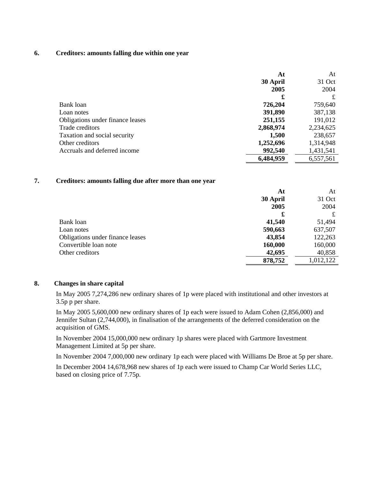#### **6. Creditors: amounts falling due within one year**

|                                  | At        | At        |
|----------------------------------|-----------|-----------|
|                                  | 30 April  | 31 Oct    |
|                                  | 2005      | 2004      |
|                                  | £         | £         |
| Bank loan                        | 726,204   | 759,640   |
| Loan notes                       | 391,890   | 387,138   |
| Obligations under finance leases | 251,155   | 191,012   |
| Trade creditors                  | 2,868,974 | 2,234,625 |
| Taxation and social security     | 1,500     | 238,657   |
| Other creditors                  | 1,252,696 | 1,314,948 |
| Accruals and deferred income     | 992,540   | 1,431,541 |
|                                  | 6,484,959 | 6,557,561 |

#### **7. Creditors: amounts falling due after more than one year**

|                                  | At       | At        |
|----------------------------------|----------|-----------|
|                                  | 30 April | 31 Oct    |
|                                  | 2005     | 2004      |
|                                  | £        | £         |
| Bank loan                        | 41,540   | 51,494    |
| Loan notes                       | 590,663  | 637,507   |
| Obligations under finance leases | 43,854   | 122,263   |
| Convertible loan note            | 160,000  | 160,000   |
| Other creditors                  | 42,695   | 40,858    |
|                                  | 878,752  | 1,012,122 |

### **8. Changes in share capital**

In May 2005 7,274,286 new ordinary shares of 1p were placed with institutional and other investors at 3.5p p per share.

In May 2005 5,600,000 new ordinary shares of 1p each were issued to Adam Cohen (2,856,000) and Jennifer Sultan (2,744,000), in finalisation of the arrangements of the deferred consideration on the acquisition of GMS.

In November 2004 15,000,000 new ordinary 1p shares were placed with Gartmore Investment Management Limited at 5p per share.

In November 2004 7,000,000 new ordinary 1p each were placed with Williams De Broe at 5p per share.

In December 2004 14,678,968 new shares of 1p each were issued to Champ Car World Series LLC, based on closing price of 7.75p.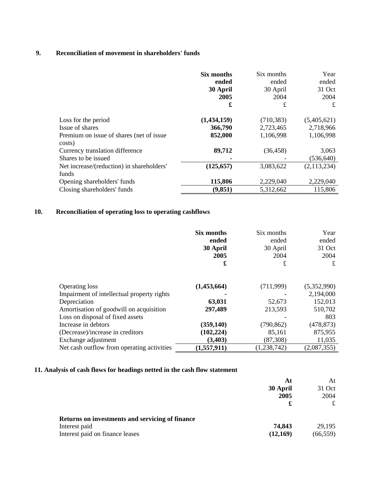## **9. Reconciliation of movement in shareholders' funds**

|                                                     | Six months<br>ended<br>30 April<br>2005<br>£ | Six months<br>ended<br>30 April<br>2004<br>$\pounds$ | Year<br>ended<br>31 Oct<br>2004<br>£ |
|-----------------------------------------------------|----------------------------------------------|------------------------------------------------------|--------------------------------------|
| Loss for the period                                 | (1,434,159)                                  | (710, 383)                                           | (5,405,621)                          |
| Issue of shares                                     | 366,790                                      | 2,723,465                                            | 2,718,966                            |
| Premium on issue of shares (net of issue)<br>costs) | 852,000                                      | 1,106,998                                            | 1,106,998                            |
| Currency translation difference                     | 89,712                                       | (36, 458)                                            | 3,063                                |
| Shares to be issued                                 |                                              |                                                      | (536, 640)                           |
| Net increase/(reduction) in shareholders'<br>funds  | (125, 657)                                   | 3,083,622                                            | (2,113,234)                          |
| Opening shareholders' funds                         | 115,806                                      | 2,229,040                                            | 2,229,040                            |
| Closing shareholders' funds                         | (9, 851)                                     | 5,312,662                                            | 115,806                              |

## **10. Reconciliation of operating loss to operating cashflows**

|                                            | Six months<br>ended<br>30 April<br>2005<br>£ | Six months<br>ended<br>30 April<br>2004<br>£ | Year<br>ended<br>31 Oct<br>2004<br>£ |
|--------------------------------------------|----------------------------------------------|----------------------------------------------|--------------------------------------|
| <b>Operating loss</b>                      | (1,453,664)                                  | (711,999)                                    | (5,352,990)                          |
| Impairment of intellectual property rights |                                              |                                              | 2,194,000                            |
| Depreciation                               | 63,031                                       | 52,673                                       | 152,013                              |
| Amortisation of goodwill on acquisition    | 297,489                                      | 213,593                                      | 510,702                              |
| Loss on disposal of fixed assets           |                                              |                                              | 803                                  |
| Increase in debtors                        | (359, 140)                                   | (790, 862)                                   | (478, 873)                           |
| (Decrease)/increase in creditors           | (102, 224)                                   | 85,161                                       | 875,955                              |
| Exchange adjustment                        | (3,403)                                      | (87,308)                                     | 11,035                               |
| Net cash outflow from operating activities | (1,557,911)                                  | (1, 238, 742)                                | (2,087,355)                          |

## **11. Analysis of cash flows for headings netted in the cash flow statement**

|                                                 | At       | At        |
|-------------------------------------------------|----------|-----------|
|                                                 | 30 April | 31 Oct    |
|                                                 | 2005     | 2004      |
|                                                 | £        |           |
| Returns on investments and servicing of finance |          |           |
| Interest paid                                   | 74,843   | 29,195    |
| Interest paid on finance leases                 | (12,169) | (66, 559) |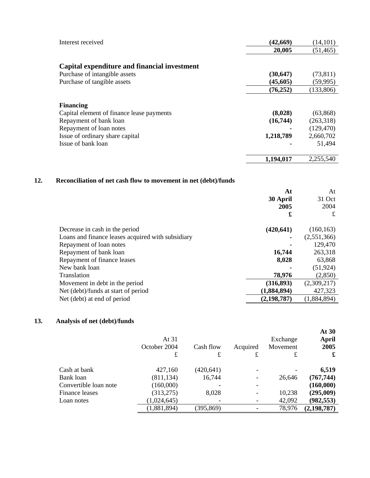| Interest received                            | (42, 669) | (14, 101)  |
|----------------------------------------------|-----------|------------|
|                                              | 20,005    | (51, 465)  |
| Capital expenditure and financial investment |           |            |
| Purchase of intangible assets                | (30, 647) | (73, 811)  |
| Purchase of tangible assets                  | (45, 605) | (59, 995)  |
|                                              | (76, 252) | (133,806)  |
| <b>Financing</b>                             |           |            |
| Capital element of finance lease payments    | (8,028)   | (63, 868)  |
| Repayment of bank loan                       | (16,744)  | (263,318)  |
| Repayment of loan notes                      |           | (129, 470) |
| Issue of ordinary share capital              | 1,218,789 | 2,660,702  |
| Issue of bank loan                           |           | 51,494     |
|                                              | 1,194,017 | 2,255,540  |

## **12. Reconciliation of net cash flow to movement in net (debt)/funds**

|                                                   | At            | At          |
|---------------------------------------------------|---------------|-------------|
|                                                   | 30 April      | 31 Oct      |
|                                                   | 2005          | 2004        |
|                                                   | £             | £           |
| Decrease in cash in the period                    | (420, 641)    | (160, 163)  |
| Loans and finance leases acquired with subsidiary |               | (2,551,366) |
| Repayment of loan notes                           |               | 129,470     |
| Repayment of bank loan                            | 16,744        | 263,318     |
| Repayment of finance leases                       | 8,028         | 63,868      |
| New bank loan                                     |               | (51, 924)   |
| Translation                                       | 78,976        | (2,850)     |
| Movement in debt in the period                    | (316, 893)    | (2,309,217) |
| Net (debt)/funds at start of period               | (1,884,894)   | 427,323     |
| Net (debt) at end of period                       | (2, 198, 787) | (1,884,894) |

## **13. Analysis of net (debt)/funds**

|                       | At 31<br>October 2004<br>£ | Cash flow<br>£ | Acquired<br>£ | Exchange<br>Movement<br>£ | At 30<br><b>April</b><br>2005<br>£ |
|-----------------------|----------------------------|----------------|---------------|---------------------------|------------------------------------|
| Cash at bank          | 427,160                    | (420, 641)     |               |                           | 6,519                              |
| Bank loan             | (811, 134)                 | 16,744         |               | 26,646                    | (767, 744)                         |
| Convertible loan note | (160,000)                  |                |               |                           | (160,000)                          |
| Finance leases        | (313, 275)                 | 8,028          |               | 10,238                    | (295,009)                          |
| Loan notes            | (1,024,645)                |                |               | 42,092                    | (982, 553)                         |
|                       | (1,881,894)                | (395, 869)     |               | 78,976                    | (2, 198, 787)                      |